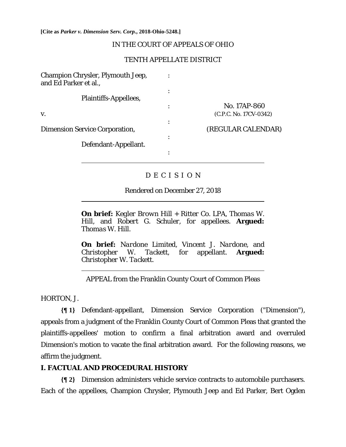**[Cite as** *Parker v. Dimension Serv. Corp.***, 2018-Ohio-5248.]**

### IN THE COURT OF APPEALS OF OHIO

### TENTH APPELLATE DISTRICT

| <b>Champion Chrysler, Plymouth Jeep,</b><br>and Ed Parker et al., |           |                        |
|-------------------------------------------------------------------|-----------|------------------------|
|                                                                   | ٠         |                        |
| Plaintiffs-Appellees,                                             |           |                        |
|                                                                   | ٠         | No. 17AP-860           |
| V.                                                                |           | (C.P.C. No. 17CV-0342) |
|                                                                   | ٠         |                        |
| <b>Dimension Service Corporation,</b>                             |           | (REGULAR CALENDAR)     |
|                                                                   | $\bullet$ |                        |
| Defendant-Appellant.                                              |           |                        |
|                                                                   | ٠         |                        |
|                                                                   |           |                        |

## D E C I S I O N

#### Rendered on December 27, 2018

**On brief:** *Kegler Brown Hill + Ritter Co. LPA, Thomas W. Hill,* and *Robert G. Schuler,* for appellees. **Argued:**  *Thomas W. Hill.* 

**On brief:** *Nardone Limited, Vincent J. Nardone,* and *Christopher W. Tackett,* for appellant. **Argued:**  *Christopher W. Tackett.* 

APPEAL from the Franklin County Court of Common Pleas

HORTON, J.

l

 $\overline{a}$ 

**{¶ 1}** Defendant-appellant, Dimension Service Corporation ("Dimension"), appeals from a judgment of the Franklin County Court of Common Pleas that granted the plaintiffs-appellees' motion to confirm a final arbitration award and overruled Dimension's motion to vacate the final arbitration award. For the following reasons, we affirm the judgment.

#### **I. FACTUAL AND PROCEDURAL HISTORY**

**{¶ 2}** Dimension administers vehicle service contracts to automobile purchasers. Each of the appellees, Champion Chrysler, Plymouth Jeep and Ed Parker, Bert Ogden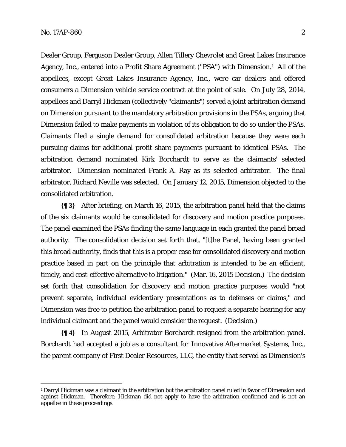<u>.</u>

Dealer Group, Ferguson Dealer Group, Allen Tillery Chevrolet and Great Lakes Insurance Agency, Inc., entered into a Profit Share Agreement ("PSA") with Dimension.1 All of the appellees, except Great Lakes Insurance Agency, Inc., were car dealers and offered consumers a Dimension vehicle service contract at the point of sale. On July 28, 2014, appellees and Darryl Hickman (collectively "claimants") served a joint arbitration demand on Dimension pursuant to the mandatory arbitration provisions in the PSAs, arguing that Dimension failed to make payments in violation of its obligation to do so under the PSAs. Claimants filed a single demand for consolidated arbitration because they were each pursuing claims for additional profit share payments pursuant to identical PSAs. The arbitration demand nominated Kirk Borchardt to serve as the claimants' selected arbitrator. Dimension nominated Frank A. Ray as its selected arbitrator. The final arbitrator, Richard Neville was selected. On January 12, 2015, Dimension objected to the consolidated arbitration.

**{¶ 3}** After briefing, on March 16, 2015, the arbitration panel held that the claims of the six claimants would be consolidated for discovery and motion practice purposes. The panel examined the PSAs finding the same language in each granted the panel broad authority. The consolidation decision set forth that, "[t]he Panel, having been granted this broad authority, finds that this is a proper case for consolidated discovery and motion practice based in part on the principle that arbitration is intended to be an efficient, timely, and cost-effective alternative to litigation." (Mar. 16, 2015 Decision.) The decision set forth that consolidation for discovery and motion practice purposes would "not prevent separate, individual evidentiary presentations as to defenses or claims," and Dimension was free to petition the arbitration panel to request a separate hearing for any individual claimant and the panel would consider the request. (Decision.)

**{¶ 4}** In August 2015, Arbitrator Borchardt resigned from the arbitration panel. Borchardt had accepted a job as a consultant for Innovative Aftermarket Systems, Inc., the parent company of First Dealer Resources, LLC, the entity that served as Dimension's

<sup>1</sup> Darryl Hickman was a claimant in the arbitration but the arbitration panel ruled in favor of Dimension and against Hickman. Therefore, Hickman did not apply to have the arbitration confirmed and is not an appellee in these proceedings.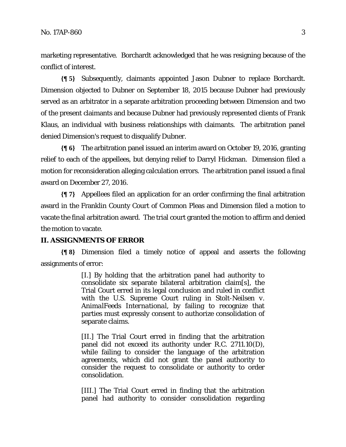marketing representative. Borchardt acknowledged that he was resigning because of the conflict of interest.

**{¶ 5}** Subsequently, claimants appointed Jason Dubner to replace Borchardt. Dimension objected to Dubner on September 18, 2015 because Dubner had previously served as an arbitrator in a separate arbitration proceeding between Dimension and two of the present claimants and because Dubner had previously represented clients of Frank Klaus, an individual with business relationships with claimants. The arbitration panel denied Dimension's request to disqualify Dubner.

**{¶ 6}** The arbitration panel issued an interim award on October 19, 2016, granting relief to each of the appellees, but denying relief to Darryl Hickman. Dimension filed a motion for reconsideration alleging calculation errors. The arbitration panel issued a final award on December 27, 2016.

**{¶ 7}** Appellees filed an application for an order confirming the final arbitration award in the Franklin County Court of Common Pleas and Dimension filed a motion to vacate the final arbitration award. The trial court granted the motion to affirm and denied the motion to vacate.

## **II. ASSIGNMENTS OF ERROR**

**{¶ 8}** Dimension filed a timely notice of appeal and asserts the following assignments of error:

> [I.] By holding that the arbitration panel had authority to consolidate six separate bilateral arbitration claim[s], the Trial Court erred in its legal conclusion and ruled in conflict with the U.S. Supreme Court ruling in *Stolt-Neilsen v. AnimalFeeds International,* by failing to recognize that parties must expressly consent to authorize consolidation of separate claims.

> [II.] The Trial Court erred in finding that the arbitration panel did not exceed its authority under R.C. 2711.10(D), while failing to consider the language of the arbitration agreements, which did not grant the panel authority to consider the request to consolidate or authority to order consolidation.

> [III.] The Trial Court erred in finding that the arbitration panel had authority to consider consolidation regarding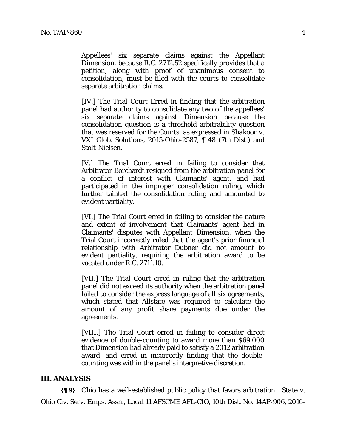Appellees' six separate claims against the Appellant Dimension, because R.C. 2712.52 specifically provides that a petition, along with proof of unanimous consent to consolidation, must be filed with the courts to consolidate separate arbitration claims.

[IV.] The Trial Court Erred in finding that the arbitration panel had authority to consolidate any two of the appellees' six separate claims against Dimension because the consolidation question is a threshold arbitrability question that was reserved for the Courts, as expressed in *Shakoor v. VXI Glob. Solutions*, 2015-Ohio-2587, ¶ 48 (7th Dist.) and *Stolt-Nielsen*.

[V.] The Trial Court erred in failing to consider that Arbitrator Borchardt resigned from the arbitration panel for a conflict of interest with Claimants' agent, and had participated in the improper consolidation ruling, which further tainted the consolidation ruling and amounted to evident partiality.

[VI.] The Trial Court erred in failing to consider the nature and extent of involvement that Claimants' agent had in Claimants' disputes with Appellant Dimension, when the Trial Court incorrectly ruled that the agent's prior financial relationship with Arbitrator Dubner did not amount to evident partiality, requiring the arbitration award to be vacated under R.C. 2711.10.

[VII.] The Trial Court erred in ruling that the arbitration panel did not exceed its authority when the arbitration panel failed to consider the express language of all six agreements, which stated that Allstate was required to calculate the amount of any profit share payments due under the agreements.

[VIII.] The Trial Court erred in failing to consider direct evidence of double-counting to award more than \$69,000 that Dimension had already paid to satisfy a 2012 arbitration award, and erred in incorrectly finding that the doublecounting was within the panel's interpretive discretion.

#### **III. ANALYSIS**

**{¶ 9}** Ohio has a well-established public policy that favors arbitration. *State v. Ohio Civ. Serv. Emps. Assn., Local 11 AFSCME AFL-CIO*, 10th Dist. No. 14AP-906, 2016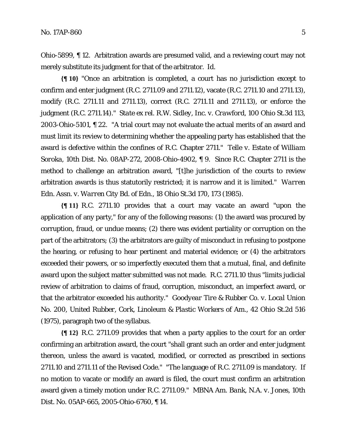Ohio-5899, ¶ 12. Arbitration awards are presumed valid, and a reviewing court may not merely substitute its judgment for that of the arbitrator. *Id*.

**{¶ 10}** "Once an arbitration is completed, a court has no jurisdiction except to confirm and enter judgment (R.C. 2711.09 and 2711.12), vacate (R.C. 2711.10 and 2711.13), modify (R.C. 2711.11 and 2711.13), correct (R.C. 2711.11 and 2711.13), or enforce the judgment (R.C. 2711.14)." *State ex rel. R.W. Sidley, Inc. v. Crawford*, 100 Ohio St.3d 113, 2003-Ohio-5101, ¶ 22. "A trial court may not evaluate the actual merits of an award and must limit its review to determining whether the appealing party has established that the award is defective within the confines of R.C. Chapter 2711." *Telle v. Estate of William Soroka*, 10th Dist. No. 08AP-272, 2008-Ohio-4902, ¶ 9. Since R.C. Chapter 2711 is the method to challenge an arbitration award, "[t]he jurisdiction of the courts to review arbitration awards is thus statutorily restricted; it is narrow and it is limited." *Warren Edn. Assn. v. Warren City Bd. of Edn.*, 18 Ohio St.3d 170, 173 (1985).

**{¶ 11}** R.C. 2711.10 provides that a court may vacate an award "upon the application of any party," for any of the following reasons: (1) the award was procured by corruption, fraud, or undue means; (2) there was evident partiality or corruption on the part of the arbitrators; (3) the arbitrators are guilty of misconduct in refusing to postpone the hearing, or refusing to hear pertinent and material evidence; or (4) the arbitrators exceeded their powers, or so imperfectly executed them that a mutual, final, and definite award upon the subject matter submitted was not made. R.C. 2711.10 thus "limits judicial review of arbitration to claims of fraud, corruption, misconduct, an imperfect award, or that the arbitrator exceeded his authority." *Goodyear Tire & Rubber Co. v. Local Union No. 200, United Rubber, Cork, Linoleum & Plastic Workers of Am.*, 42 Ohio St.2d 516 (1975), paragraph two of the syllabus.

**{¶ 12}** R.C. 2711.09 provides that when a party applies to the court for an order confirming an arbitration award, the court "shall grant such an order and enter judgment thereon, unless the award is vacated, modified, or corrected as prescribed in sections 2711.10 and 2711.11 of the Revised Code." "The language of R.C. 2711.09 is mandatory. If no motion to vacate or modify an award is filed, the court must confirm an arbitration award given a timely motion under R.C. 2711.09." *MBNA Am. Bank, N.A. v. Jones*, 10th Dist. No. 05AP-665, 2005-Ohio-6760, ¶ 14.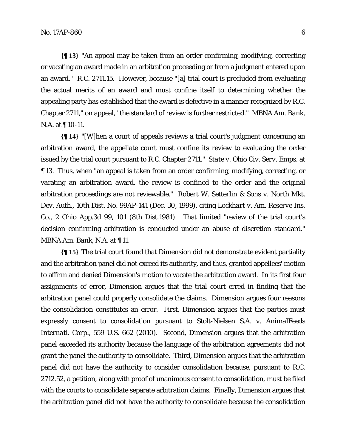**{¶ 13}** "An appeal may be taken from an order confirming, modifying, correcting or vacating an award made in an arbitration proceeding or from a judgment entered upon an award." R.C. 2711.15. However, because "[a] trial court is precluded from evaluating the actual merits of an award and must confine itself to determining whether the appealing party has established that the award is defective in a manner recognized by R.C. Chapter 2711," on appeal, "the standard of review is further restricted." *MBNA Am. Bank, N.A.* at  $\P$  10-11.

**{¶ 14}** "[W]hen a court of appeals reviews a trial court's judgment concerning an arbitration award, the appellate court must confine its review to evaluating the order issued by the trial court pursuant to R.C. Chapter 2711." *State v. Ohio Civ. Serv. Emps.* at ¶ 13. Thus, when "an appeal is taken from an order confirming, modifying, correcting, or vacating an arbitration award, the review is confined to the order and the original arbitration proceedings are not reviewable." *Robert W. Setterlin & Sons v. North Mkt. Dev. Auth.*, 10th Dist. No. 99AP-141 (Dec. 30, 1999), citing *Lockhart v. Am. Reserve Ins. Co.*, 2 Ohio App.3d 99, 101 (8th Dist.1981). That limited "review of the trial court's decision confirming arbitration is conducted under an abuse of discretion standard." *MBNA Am. Bank, N.A.* at ¶ 11.

**{¶ 15}** The trial court found that Dimension did not demonstrate evident partiality and the arbitration panel did not exceed its authority, and thus, granted appellees' motion to affirm and denied Dimension's motion to vacate the arbitration award. In its first four assignments of error, Dimension argues that the trial court erred in finding that the arbitration panel could properly consolidate the claims. Dimension argues four reasons the consolidation constitutes an error. First, Dimension argues that the parties must expressly consent to consolidation pursuant to *Stolt-Nielsen S.A. v. AnimalFeeds Internatl. Corp.*, 559 U.S. 662 (2010). Second, Dimension argues that the arbitration panel exceeded its authority because the language of the arbitration agreements did not grant the panel the authority to consolidate. Third, Dimension argues that the arbitration panel did not have the authority to consider consolidation because, pursuant to R.C. 2712.52, a petition, along with proof of unanimous consent to consolidation, must be filed with the courts to consolidate separate arbitration claims. Finally, Dimension argues that the arbitration panel did not have the authority to consolidate because the consolidation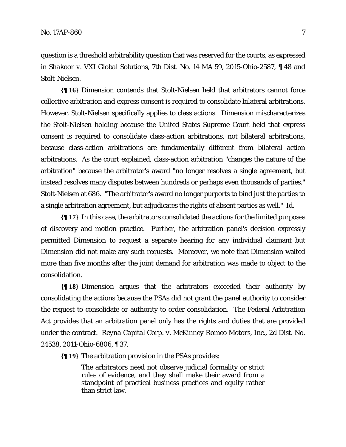question is a threshold arbitrability question that was reserved for the courts, as expressed in *Shakoor v. VXI Global Solutions*, 7th Dist. No. 14 MA 59, 2015-Ohio-2587, ¶ 48 and *Stolt-Nielsen*.

**{¶ 16}** Dimension contends that *Stolt-Nielsen* held that arbitrators cannot force collective arbitration and express consent is required to consolidate bilateral arbitrations. However, *Stolt-Nielsen* specifically applies to class actions. Dimension mischaracterizes the *Stolt-Nielsen* holding because the United States Supreme Court held that express consent is required to consolidate class-action arbitrations, not bilateral arbitrations, because class-action arbitrations are fundamentally different from bilateral action arbitrations. As the court explained, class-action arbitration "changes the nature of the arbitration" because the arbitrator's award "no longer resolves a single agreement, but instead resolves many disputes between hundreds or perhaps even thousands of parties." *Stolt-Nielsen* at 686. "The arbitrator's award no longer purports to bind just the parties to a single arbitration agreement, but adjudicates the rights of absent parties as well." *Id*.

**{¶ 17}** In this case, the arbitrators consolidated the actions for the limited purposes of discovery and motion practice. Further, the arbitration panel's decision expressly permitted Dimension to request a separate hearing for any individual claimant but Dimension did not make any such requests. Moreover, we note that Dimension waited more than five months after the joint demand for arbitration was made to object to the consolidation.

**{¶ 18}** Dimension argues that the arbitrators exceeded their authority by consolidating the actions because the PSAs did not grant the panel authority to consider the request to consolidate or authority to order consolidation. The Federal Arbitration Act provides that an arbitration panel only has the rights and duties that are provided under the contract. *Reyna Capital Corp. v. McKinney Romeo Motors, Inc.*, 2d Dist. No. 24538, 2011-Ohio-6806, ¶ 37.

**{¶ 19}** The arbitration provision in the PSAs provides:

The arbitrators need not observe judicial formality or strict rules of evidence, and they shall make their award from a standpoint of practical business practices and equity rather than strict law.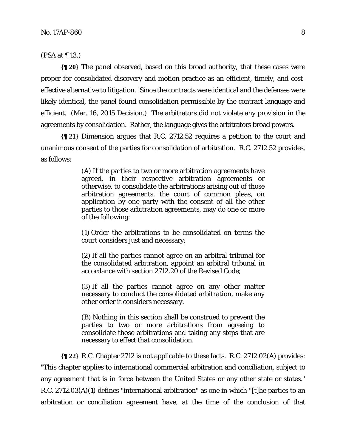(PSA at ¶ 13.)

**{¶ 20}** The panel observed, based on this broad authority, that these cases were proper for consolidated discovery and motion practice as an efficient, timely, and costeffective alternative to litigation. Since the contracts were identical and the defenses were likely identical, the panel found consolidation permissible by the contract language and efficient. (Mar. 16, 2015 Decision.) The arbitrators did not violate any provision in the agreements by consolidation. Rather, the language gives the arbitrators broad powers.

**{¶ 21}** Dimension argues that R.C. 2712.52 requires a petition to the court and unanimous consent of the parties for consolidation of arbitration. R.C. 2712.52 provides, as follows:

> (A) If the parties to two or more arbitration agreements have agreed, in their respective arbitration agreements or otherwise, to consolidate the arbitrations arising out of those arbitration agreements, the court of common pleas, on application by one party with the consent of all the other parties to those arbitration agreements, may do one or more of the following:

> (1) Order the arbitrations to be consolidated on terms the court considers just and necessary;

> (2) If all the parties cannot agree on an arbitral tribunal for the consolidated arbitration, appoint an arbitral tribunal in accordance with section 2712.20 of the Revised Code;

> (3) If all the parties cannot agree on any other matter necessary to conduct the consolidated arbitration, make any other order it considers necessary.

> (B) Nothing in this section shall be construed to prevent the parties to two or more arbitrations from agreeing to consolidate those arbitrations and taking any steps that are necessary to effect that consolidation.

**{¶ 22}** R.C. Chapter 2712 is not applicable to these facts. R.C. 2712.02(A) provides: "This chapter applies to international commercial arbitration and conciliation, subject to any agreement that is in force between the United States or any other state or states." R.C. 2712.03(A)(1) defines "international arbitration" as one in which "[t]he parties to an arbitration or conciliation agreement have, at the time of the conclusion of that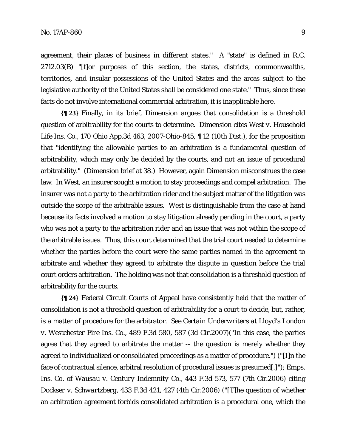agreement, their places of business in different states." A "state" is defined in R.C. 2712.03(B) "[f]or purposes of this section, the states, districts, commonwealths, territories, and insular possessions of the United States and the areas subject to the legislative authority of the United States shall be considered one state." Thus, since these facts do not involve international commercial arbitration, it is inapplicable here.

**{¶ 23}** Finally, in its brief, Dimension argues that consolidation is a threshold question of arbitrability for the courts to determine. Dimension cites *West v. Household Life Ins. Co.*, 170 Ohio App.3d 463, 2007-Ohio-845, ¶ 12 (10th Dist.), for the proposition that "identifying the allowable parties to an arbitration is a fundamental question of arbitrability, which may only be decided by the courts, and not an issue of procedural arbitrability." (Dimension brief at 38.) However, again Dimension misconstrues the case law. In *West*, an insurer sought a motion to stay proceedings and compel arbitration. The insurer was not a party to the arbitration rider and the subject matter of the litigation was outside the scope of the arbitrable issues. *West* is distinguishable from the case at hand because its facts involved a motion to stay litigation already pending in the court, a party who was not a party to the arbitration rider and an issue that was not within the scope of the arbitrable issues. Thus, this court determined that the trial court needed to determine whether the parties before the court were the same parties named in the agreement to arbitrate and whether they agreed to arbitrate the dispute in question before the trial court orders arbitration. The holding was not that consolidation is a threshold question of arbitrability for the courts.

**{¶ 24}** Federal Circuit Courts of Appeal have consistently held that the matter of consolidation is not a threshold question of arbitrability for a court to decide, but, rather, is a matter of procedure for the arbitrator. *See Certain Underwriters at Lloyd's London v. Westchester Fire Ins. Co.*, 489 F.3d 580, 587 (3d Cir.2007)("In this case, the parties agree that they agreed to arbitrate the matter -- the question is merely whether they agreed to individualized or consolidated proceedings as a matter of procedure.") ("[I]n the face of contractual silence, arbitral resolution of procedural issues is presumed[.]"); *Emps. Ins. Co. of Wausau v. Century Indemnity Co*., 443 F.3d 573, 577 (7th Cir.2006) citing *Dockser v. Schwartzberg*, 433 F.3d 421, 427 (4th Cir.2006) ("[T]he question of whether an arbitration agreement forbids consolidated arbitration is a procedural one, which the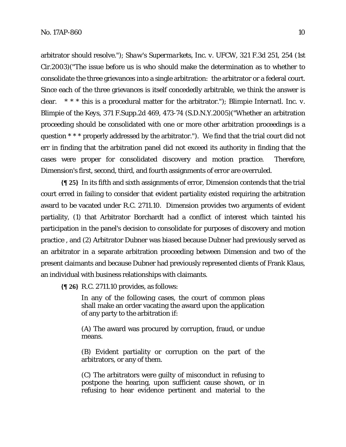arbitrator should resolve."); *Shaw's Supermarkets, Inc. v. UFCW*, 321 F.3d 251, 254 (1st Cir.2003)("The issue before us is who should make the determination as to whether to consolidate the three grievances into a single arbitration: the arbitrator or a federal court. Since each of the three grievances is itself concededly arbitrable, we think the answer is clear. \* \* \* this is a procedural matter for the arbitrator."); *Blimpie Internatl. Inc. v. Blimpie of the Keys*, 371 F.Supp.2d 469, 473-74 (S.D.N.Y.2005)("Whether an arbitration proceeding should be consolidated with one or more other arbitration proceedings is a question \* \* \* properly addressed by the arbitrator."). We find that the trial court did not err in finding that the arbitration panel did not exceed its authority in finding that the cases were proper for consolidated discovery and motion practice. Therefore, Dimension's first, second, third, and fourth assignments of error are overruled.

**{¶ 25}** In its fifth and sixth assignments of error, Dimension contends that the trial court erred in failing to consider that evident partiality existed requiring the arbitration award to be vacated under R.C. 2711.10. Dimension provides two arguments of evident partiality, (1) that Arbitrator Borchardt had a conflict of interest which tainted his participation in the panel's decision to consolidate for purposes of discovery and motion practice , and (2) Arbitrator Dubner was biased because Dubner had previously served as an arbitrator in a separate arbitration proceeding between Dimension and two of the present claimants and because Dubner had previously represented clients of Frank Klaus, an individual with business relationships with claimants.

**{¶ 26}** R.C. 2711.10 provides, as follows:

In any of the following cases, the court of common pleas shall make an order vacating the award upon the application of any party to the arbitration if:

(A) The award was procured by corruption, fraud, or undue means.

(B) Evident partiality or corruption on the part of the arbitrators, or any of them.

(C) The arbitrators were guilty of misconduct in refusing to postpone the hearing, upon sufficient cause shown, or in refusing to hear evidence pertinent and material to the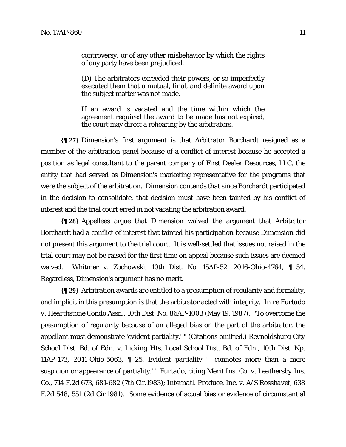(D) The arbitrators exceeded their powers, or so imperfectly executed them that a mutual, final, and definite award upon the subject matter was not made.

If an award is vacated and the time within which the agreement required the award to be made has not expired, the court may direct a rehearing by the arbitrators.

**{¶ 27}** Dimension's first argument is that Arbitrator Borchardt resigned as a member of the arbitration panel because of a conflict of interest because he accepted a position as legal consultant to the parent company of First Dealer Resources, LLC, the entity that had served as Dimension's marketing representative for the programs that were the subject of the arbitration. Dimension contends that since Borchardt participated in the decision to consolidate, that decision must have been tainted by his conflict of interest and the trial court erred in not vacating the arbitration award.

**{¶ 28}** Appellees argue that Dimension waived the argument that Arbitrator Borchardt had a conflict of interest that tainted his participation because Dimension did not present this argument to the trial court. It is well-settled that issues not raised in the trial court may not be raised for the first time on appeal because such issues are deemed waived. *Whitmer v. Zochowski*, 10th Dist. No. 15AP-52, 2016-Ohio-4764, ¶ 54. Regardless, Dimension's argument has no merit.

**{¶ 29}** Arbitration awards are entitled to a presumption of regularity and formality, and implicit in this presumption is that the arbitrator acted with integrity. *In re Furtado v. Hearthstone Condo Assn.*, 10th Dist. No. 86AP-1003 (May 19, 1987). "To overcome the presumption of regularity because of an alleged bias on the part of the arbitrator, the appellant must demonstrate 'evident partiality.' " (Citations omitted.) *Reynoldsburg City School Dist. Bd. of Edn. v. Licking Hts. Local School Dist. Bd. of Edn.*, 10th Dist. Np. 11AP-173, 2011-Ohio-5063, ¶ 25. Evident partiality " 'connotes more than a mere suspicion or appearance of partiality.' " *Furtado*, citing *Merit Ins. Co. v. Leathersby Ins. Co.*, 714 F.2d 673, 681-682 (7th Cir.1983); *Internatl. Produce, Inc. v. A/S Rosshavet*, 638 F.2d 548, 551 (2d Cir.1981). Some evidence of actual bias or evidence of circumstantial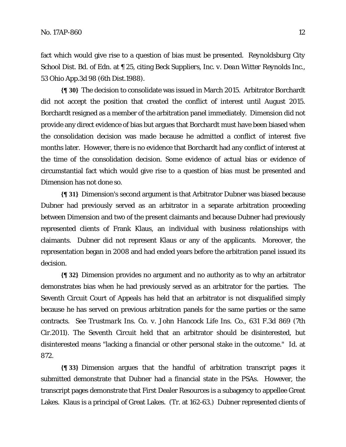fact which would give rise to a question of bias must be presented. *Reynoldsburg City School Dist. Bd. of Edn*. at ¶ 25, citing *Beck Suppliers, Inc. v. Dean Witter Reynolds Inc.,*  53 Ohio App.3d 98 (6th Dist.1988).

**{¶ 30}** The decision to consolidate was issued in March 2015. Arbitrator Borchardt did not accept the position that created the conflict of interest until August 2015. Borchardt resigned as a member of the arbitration panel immediately. Dimension did not provide any direct evidence of bias but argues that Borchardt must have been biased when the consolidation decision was made because he admitted a conflict of interest five months later. However, there is no evidence that Borchardt had any conflict of interest at the time of the consolidation decision. Some evidence of actual bias or evidence of circumstantial fact which would give rise to a question of bias must be presented and Dimension has not done so.

**{¶ 31}** Dimension's second argument is that Arbitrator Dubner was biased because Dubner had previously served as an arbitrator in a separate arbitration proceeding between Dimension and two of the present claimants and because Dubner had previously represented clients of Frank Klaus, an individual with business relationships with claimants. Dubner did not represent Klaus or any of the applicants. Moreover, the representation began in 2008 and had ended years before the arbitration panel issued its decision.

**{¶ 32}** Dimension provides no argument and no authority as to why an arbitrator demonstrates bias when he had previously served as an arbitrator for the parties. The Seventh Circuit Court of Appeals has held that an arbitrator is not disqualified simply because he has served on previous arbitration panels for the same parties or the same contracts. *See Trustmark Ins. Co. v. John Hancock Life Ins. Co.*, 631 F.3d 869 (7th Cir.2011). The Seventh Circuit held that an arbitrator should be disinterested, but disinterested means "lacking a financial or other personal stake in the outcome." *Id*. at 872.

**{¶ 33}** Dimension argues that the handful of arbitration transcript pages it submitted demonstrate that Dubner had a financial state in the PSAs. However, the transcript pages demonstrate that First Dealer Resources is a subagency to appellee Great Lakes. Klaus is a principal of Great Lakes. (Tr. at 162-63.) Dubner represented clients of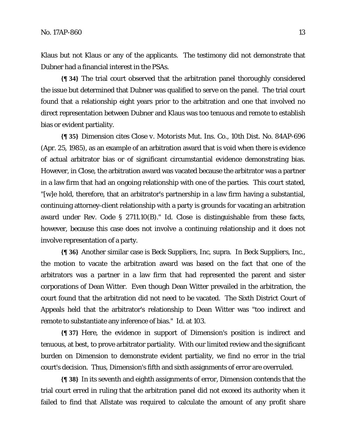Klaus but not Klaus or any of the applicants. The testimony did not demonstrate that Dubner had a financial interest in the PSAs.

**{¶ 34}** The trial court observed that the arbitration panel thoroughly considered the issue but determined that Dubner was qualified to serve on the panel. The trial court found that a relationship eight years prior to the arbitration and one that involved no direct representation between Dubner and Klaus was too tenuous and remote to establish bias or evident partiality.

**{¶ 35}** Dimension cites *Close v. Motorists Mut. Ins. Co.*, 10th Dist. No. 84AP-696 (Apr. 25, 1985), as an example of an arbitration award that is void when there is evidence of actual arbitrator bias or of significant circumstantial evidence demonstrating bias. However, in *Close*, the arbitration award was vacated because the arbitrator was a partner in a law firm that had an ongoing relationship with one of the parties. This court stated, "[w]e hold, therefore, that an arbitrator's partnership in a law firm having a substantial, continuing attorney-client relationship with a party is grounds for vacating an arbitration award under Rev. Code § 2711.10(B)." *Id. Close* is distinguishable from these facts, however, because this case does not involve a continuing relationship and it does not involve representation of a party.

**{¶ 36}** Another similar case is *Beck Suppliers, Inc,* supra. In *Beck Suppliers, Inc.*, the motion to vacate the arbitration award was based on the fact that one of the arbitrators was a partner in a law firm that had represented the parent and sister corporations of Dean Witter. Even though Dean Witter prevailed in the arbitration, the court found that the arbitration did not need to be vacated. The Sixth District Court of Appeals held that the arbitrator's relationship to Dean Witter was "too indirect and remote to substantiate any inference of bias." *Id*. at 103.

**{¶ 37}** Here, the evidence in support of Dimension's position is indirect and tenuous, at best, to prove arbitrator partiality. With our limited review and the significant burden on Dimension to demonstrate evident partiality, we find no error in the trial court's decision. Thus, Dimension's fifth and sixth assignments of error are overruled.

**{¶ 38}** In its seventh and eighth assignments of error, Dimension contends that the trial court erred in ruling that the arbitration panel did not exceed its authority when it failed to find that Allstate was required to calculate the amount of any profit share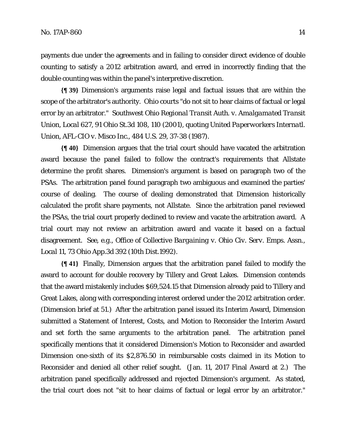payments due under the agreements and in failing to consider direct evidence of double counting to satisfy a 2012 arbitration award, and erred in incorrectly finding that the double counting was within the panel's interpretive discretion.

**{¶ 39}** Dimension's arguments raise legal and factual issues that are within the scope of the arbitrator's authority. Ohio courts "do not sit to hear claims of factual or legal error by an arbitrator." *Southwest Ohio Regional Transit Auth. v. Amalgamated Transit Union, Local 627*, 91 Ohio St.3d 108, 110 (2001), quoting *United Paperworkers Internatl. Union, AFL-CIO v. Misco Inc.*, 484 U.S. 29, 37-38 (1987).

**{¶ 40}** Dimension argues that the trial court should have vacated the arbitration award because the panel failed to follow the contract's requirements that Allstate determine the profit shares. Dimension's argument is based on paragraph two of the PSAs. The arbitration panel found paragraph two ambiguous and examined the parties' course of dealing. The course of dealing demonstrated that Dimension historically calculated the profit share payments, not Allstate. Since the arbitration panel reviewed the PSAs, the trial court properly declined to review and vacate the arbitration award. A trial court may not review an arbitration award and vacate it based on a factual disagreement. *See, e.g.*, *Office of Collective Bargaining v. Ohio Civ. Serv. Emps. Assn., Local 11*, 73 Ohio App.3d 392 (10th Dist.1992).

**{¶ 41}** Finally, Dimension argues that the arbitration panel failed to modify the award to account for double recovery by Tillery and Great Lakes. Dimension contends that the award mistakenly includes \$69,524.15 that Dimension already paid to Tillery and Great Lakes, along with corresponding interest ordered under the 2012 arbitration order. (Dimension brief at 51.) After the arbitration panel issued its Interim Award, Dimension submitted a Statement of Interest, Costs, and Motion to Reconsider the Interim Award and set forth the same arguments to the arbitration panel. The arbitration panel specifically mentions that it considered Dimension's Motion to Reconsider and awarded Dimension one-sixth of its \$2,876.50 in reimbursable costs claimed in its Motion to Reconsider and denied all other relief sought. (Jan. 11, 2017 Final Award at 2.) The arbitration panel specifically addressed and rejected Dimension's argument. As stated, the trial court does not "sit to hear claims of factual or legal error by an arbitrator."